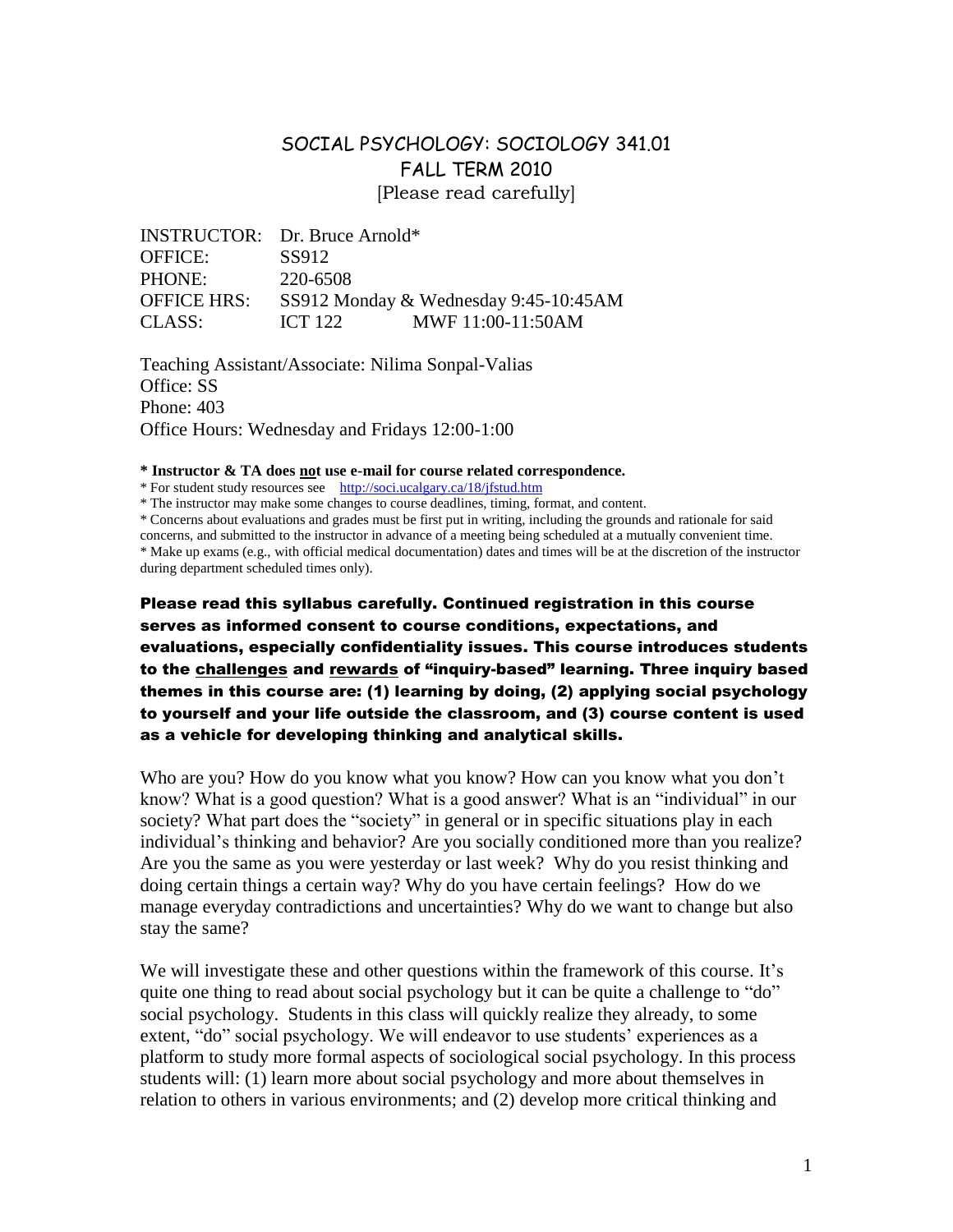# SOCIAL PSYCHOLOGY: SOCIOLOGY 341.01 FALL TERM 2010 [Please read carefully]

|                    | <b>INSTRUCTOR:</b> Dr. Bruce Arnold*  |  |
|--------------------|---------------------------------------|--|
| <b>OFFICE:</b>     | SS912                                 |  |
| <b>PHONE:</b>      | 220-6508                              |  |
| <b>OFFICE HRS:</b> | SS912 Monday & Wednesday 9:45-10:45AM |  |
| CLASS:             | MWF 11:00-11:50AM<br><b>ICT 122</b>   |  |

Teaching Assistant/Associate: Nilima Sonpal-Valias Office: SS Phone: 403 Office Hours: Wednesday and Fridays 12:00-1:00

**\* Instructor & TA does not use e-mail for course related correspondence.**

\* For student study resources see http://soci.ucalgary.ca/18/jfstud.htm

\* The instructor may make some changes to course deadlines, timing, format, and content.

\* Concerns about evaluations and grades must be first put in writing, including the grounds and rationale for said

concerns, and submitted to the instructor in advance of a meeting being scheduled at a mutually convenient time. \* Make up exams (e.g., with official medical documentation) dates and times will be at the discretion of the instructor during department scheduled times only).

Please read this syllabus carefully. Continued registration in this course serves as informed consent to course conditions, expectations, and evaluations, especially confidentiality issues. This course introduces students to the challenges and rewards of "inquiry-based" learning. Three inquiry based themes in this course are: (1) learning by doing, (2) applying social psychology to yourself and your life outside the classroom, and (3) course content is used as a vehicle for developing thinking and analytical skills.

Who are you? How do you know what you know? How can you know what you don't know? What is a good question? What is a good answer? What is an "individual" in our society? What part does the "society" in general or in specific situations play in each individual's thinking and behavior? Are you socially conditioned more than you realize? Are you the same as you were yesterday or last week? Why do you resist thinking and doing certain things a certain way? Why do you have certain feelings? How do we manage everyday contradictions and uncertainties? Why do we want to change but also stay the same?

We will investigate these and other questions within the framework of this course. It's quite one thing to read about social psychology but it can be quite a challenge to "do" social psychology. Students in this class will quickly realize they already, to some extent, "do" social psychology. We will endeavor to use students' experiences as a platform to study more formal aspects of sociological social psychology. In this process students will: (1) learn more about social psychology and more about themselves in relation to others in various environments; and (2) develop more critical thinking and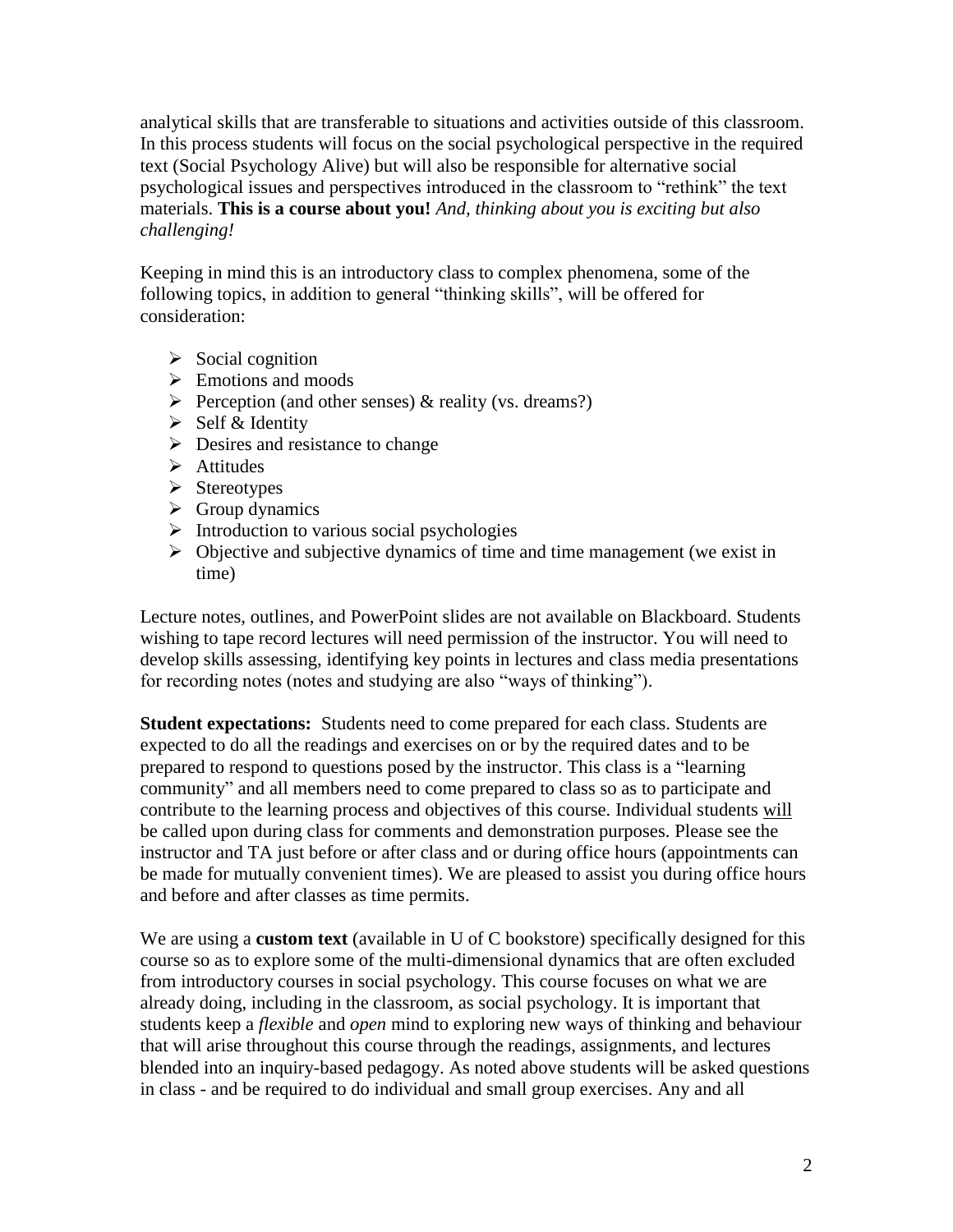analytical skills that are transferable to situations and activities outside of this classroom. In this process students will focus on the social psychological perspective in the required text (Social Psychology Alive) but will also be responsible for alternative social psychological issues and perspectives introduced in the classroom to "rethink" the text materials. **This is a course about you!** *And, thinking about you is exciting but also challenging!*

Keeping in mind this is an introductory class to complex phenomena, some of the following topics, in addition to general "thinking skills", will be offered for consideration:

- $\triangleright$  Social cognition
- $\triangleright$  Emotions and moods
- Perception (and other senses)  $\&$  reality (vs. dreams?)
- $\triangleright$  Self & Identity
- $\triangleright$  Desires and resistance to change
- $\triangleright$  Attitudes
- $\triangleright$  Stereotypes
- $\triangleright$  Group dynamics
- $\triangleright$  Introduction to various social psychologies
- $\triangleright$  Objective and subjective dynamics of time and time management (we exist in time)

Lecture notes, outlines, and PowerPoint slides are not available on Blackboard. Students wishing to tape record lectures will need permission of the instructor. You will need to develop skills assessing, identifying key points in lectures and class media presentations for recording notes (notes and studying are also "ways of thinking").

**Student expectations:** Students need to come prepared for each class. Students are expected to do all the readings and exercises on or by the required dates and to be prepared to respond to questions posed by the instructor. This class is a "learning community" and all members need to come prepared to class so as to participate and contribute to the learning process and objectives of this course. Individual students will be called upon during class for comments and demonstration purposes. Please see the instructor and TA just before or after class and or during office hours (appointments can be made for mutually convenient times). We are pleased to assist you during office hours and before and after classes as time permits.

We are using a **custom text** (available in U of C bookstore) specifically designed for this course so as to explore some of the multi-dimensional dynamics that are often excluded from introductory courses in social psychology. This course focuses on what we are already doing, including in the classroom, as social psychology. It is important that students keep a *flexible* and *open* mind to exploring new ways of thinking and behaviour that will arise throughout this course through the readings, assignments, and lectures blended into an inquiry-based pedagogy. As noted above students will be asked questions in class - and be required to do individual and small group exercises. Any and all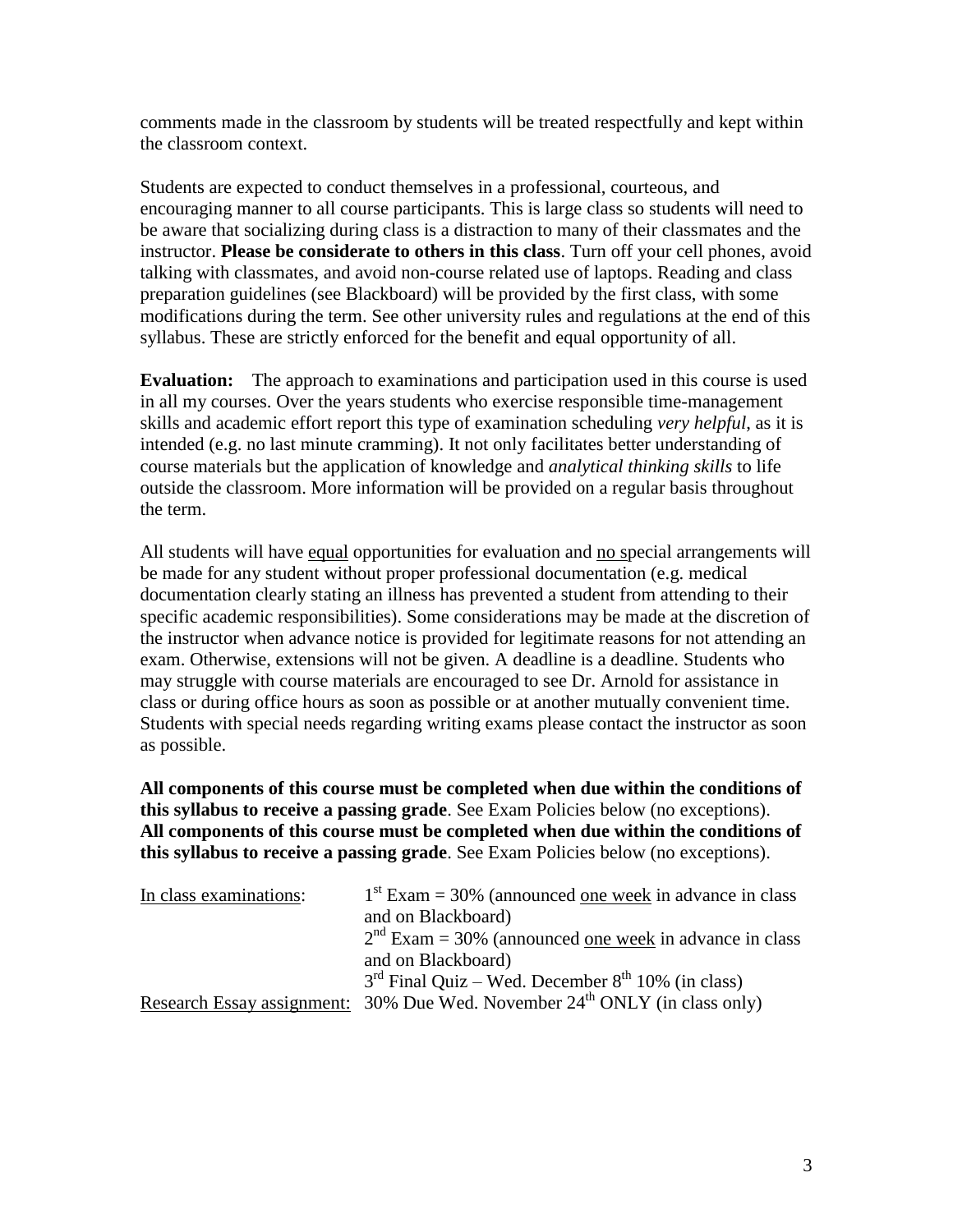comments made in the classroom by students will be treated respectfully and kept within the classroom context.

Students are expected to conduct themselves in a professional, courteous, and encouraging manner to all course participants. This is large class so students will need to be aware that socializing during class is a distraction to many of their classmates and the instructor. **Please be considerate to others in this class**. Turn off your cell phones, avoid talking with classmates, and avoid non-course related use of laptops. Reading and class preparation guidelines (see Blackboard) will be provided by the first class, with some modifications during the term. See other university rules and regulations at the end of this syllabus. These are strictly enforced for the benefit and equal opportunity of all.

**Evaluation:** The approach to examinations and participation used in this course is used in all my courses. Over the years students who exercise responsible time-management skills and academic effort report this type of examination scheduling *very helpful*, as it is intended (e.g. no last minute cramming). It not only facilitates better understanding of course materials but the application of knowledge and *analytical thinking skills* to life outside the classroom. More information will be provided on a regular basis throughout the term.

All students will have equal opportunities for evaluation and no special arrangements will be made for any student without proper professional documentation (e.g. medical documentation clearly stating an illness has prevented a student from attending to their specific academic responsibilities). Some considerations may be made at the discretion of the instructor when advance notice is provided for legitimate reasons for not attending an exam. Otherwise, extensions will not be given. A deadline is a deadline. Students who may struggle with course materials are encouraged to see Dr. Arnold for assistance in class or during office hours as soon as possible or at another mutually convenient time. Students with special needs regarding writing exams please contact the instructor as soon as possible.

**All components of this course must be completed when due within the conditions of this syllabus to receive a passing grade**. See Exam Policies below (no exceptions). **All components of this course must be completed when due within the conditions of this syllabus to receive a passing grade**. See Exam Policies below (no exceptions).

| In class examinations: | $1st$ Exam = 30% (announced <u>one week</u> in advance in class                        |
|------------------------|----------------------------------------------------------------------------------------|
|                        | and on Blackboard)                                                                     |
|                        | $2nd$ Exam = 30% (announced one week in advance in class                               |
|                        | and on Blackboard)                                                                     |
|                        | $3rd$ Final Quiz – Wed. December $8th 10%$ (in class)                                  |
|                        | Research Essay assignment: 30% Due Wed. November 24 <sup>th</sup> ONLY (in class only) |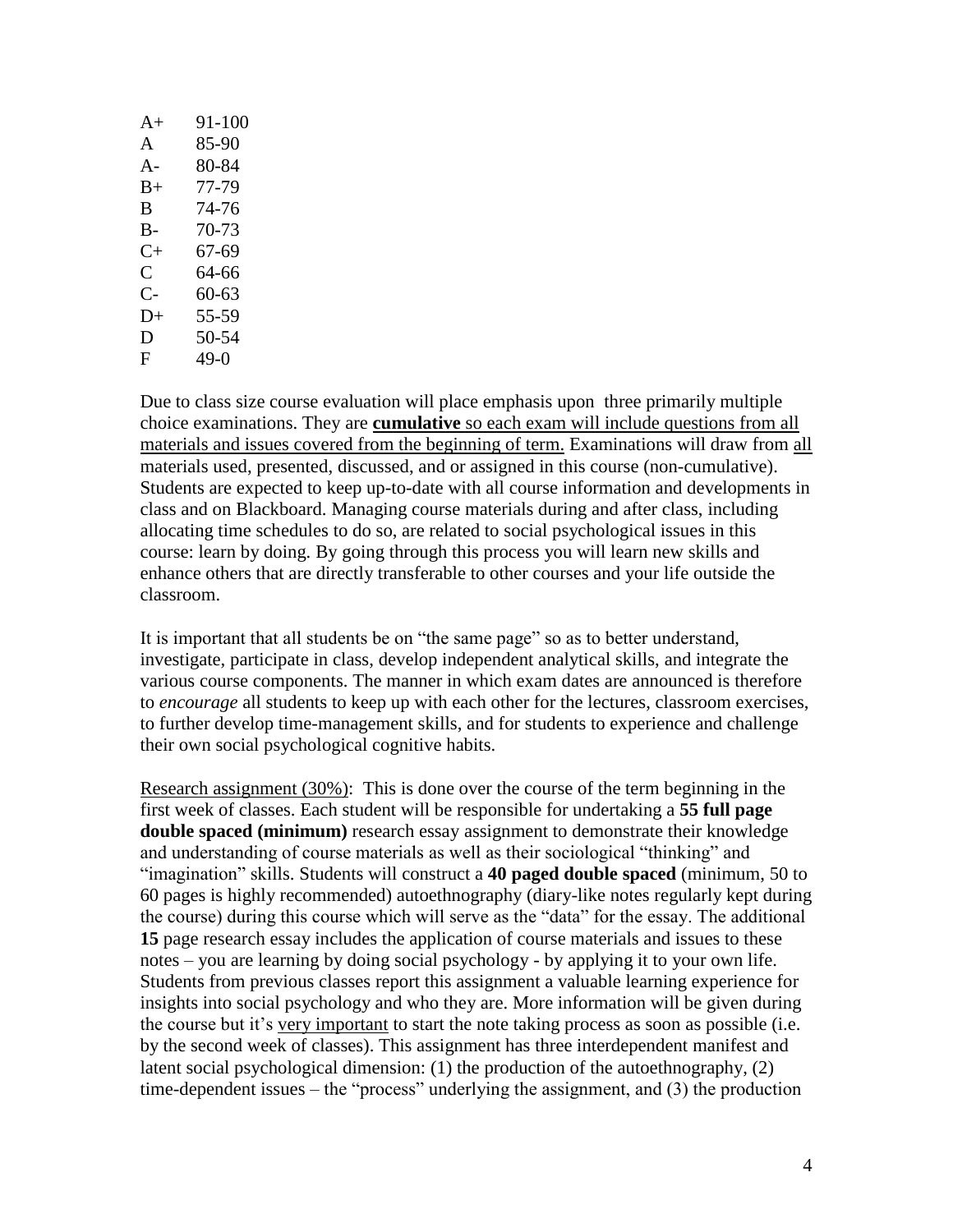| $A+$           | 91-100    |
|----------------|-----------|
| A              | 85-90     |
| $A -$          | 80-84     |
| B+             | 77-79     |
| B              | 74-76     |
| B-             | $70 - 73$ |
| $C+$           | 67-69     |
| $\overline{C}$ | 64-66     |
| C-             | 60-63     |
| $D+$           | 55-59     |
| D              | 50-54     |
| F              | 49-0      |
|                |           |

Due to class size course evaluation will place emphasis upon three primarily multiple choice examinations. They are **cumulative** so each exam will include questions from all materials and issues covered from the beginning of term. Examinations will draw from all materials used, presented, discussed, and or assigned in this course (non-cumulative). Students are expected to keep up-to-date with all course information and developments in class and on Blackboard. Managing course materials during and after class, including allocating time schedules to do so, are related to social psychological issues in this course: learn by doing. By going through this process you will learn new skills and enhance others that are directly transferable to other courses and your life outside the classroom.

It is important that all students be on "the same page" so as to better understand, investigate, participate in class, develop independent analytical skills, and integrate the various course components. The manner in which exam dates are announced is therefore to *encourage* all students to keep up with each other for the lectures, classroom exercises, to further develop time-management skills, and for students to experience and challenge their own social psychological cognitive habits.

Research assignment (30%): This is done over the course of the term beginning in the first week of classes. Each student will be responsible for undertaking a **55 full page double spaced (minimum)** research essay assignment to demonstrate their knowledge and understanding of course materials as well as their sociological "thinking" and "imagination" skills. Students will construct a **40 paged double spaced** (minimum, 50 to 60 pages is highly recommended) autoethnography (diary-like notes regularly kept during the course) during this course which will serve as the "data" for the essay. The additional **15** page research essay includes the application of course materials and issues to these notes – you are learning by doing social psychology - by applying it to your own life. Students from previous classes report this assignment a valuable learning experience for insights into social psychology and who they are. More information will be given during the course but it's very important to start the note taking process as soon as possible (i.e. by the second week of classes). This assignment has three interdependent manifest and latent social psychological dimension: (1) the production of the autoethnography, (2) time-dependent issues – the "process" underlying the assignment, and (3) the production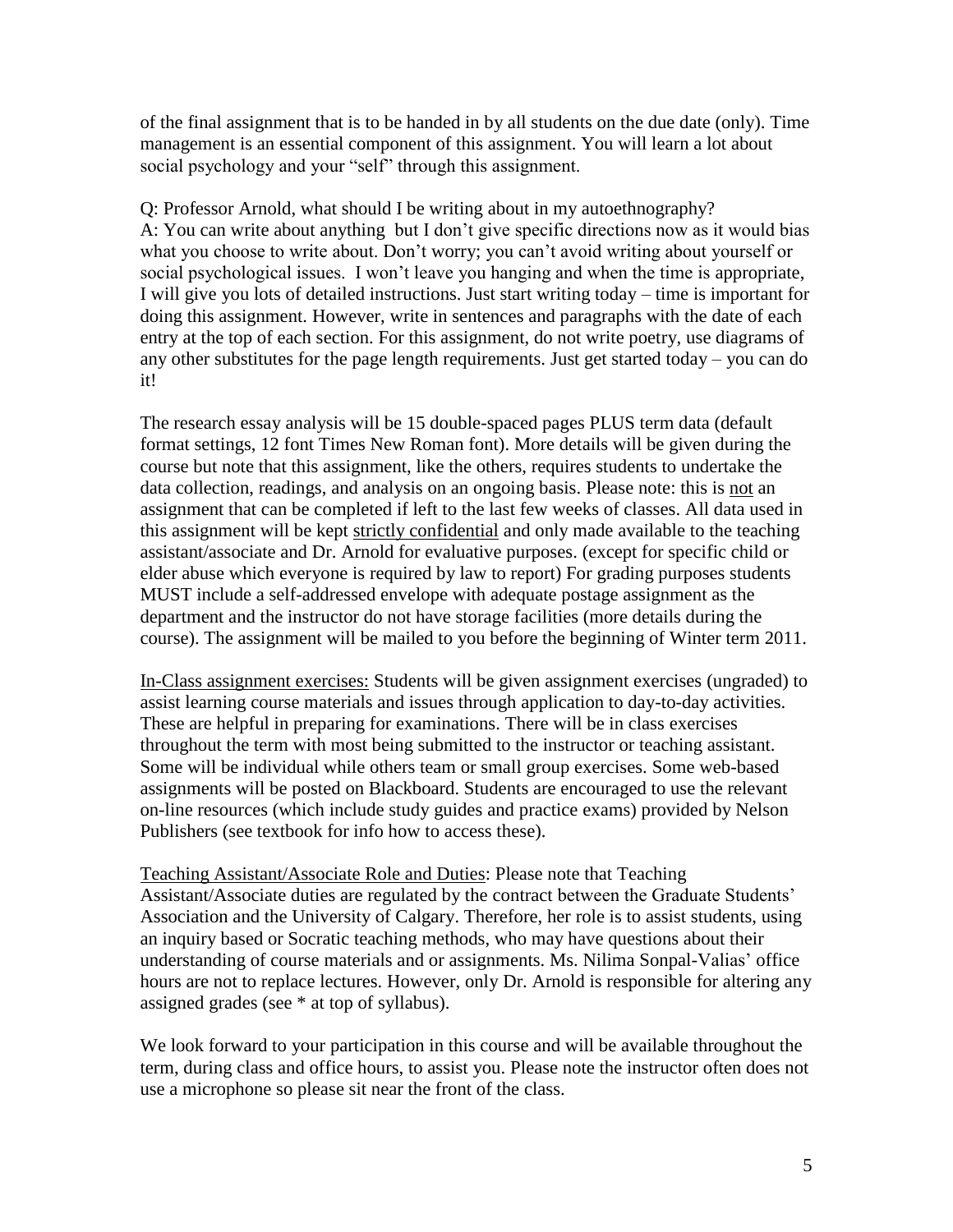of the final assignment that is to be handed in by all students on the due date (only). Time management is an essential component of this assignment. You will learn a lot about social psychology and your "self" through this assignment.

Q: Professor Arnold, what should I be writing about in my autoethnography? A: You can write about anything but I don't give specific directions now as it would bias what you choose to write about. Don't worry; you can't avoid writing about yourself or social psychological issues. I won't leave you hanging and when the time is appropriate, I will give you lots of detailed instructions. Just start writing today – time is important for doing this assignment. However, write in sentences and paragraphs with the date of each entry at the top of each section. For this assignment, do not write poetry, use diagrams of any other substitutes for the page length requirements. Just get started today – you can do it!

The research essay analysis will be 15 double-spaced pages PLUS term data (default format settings, 12 font Times New Roman font). More details will be given during the course but note that this assignment, like the others, requires students to undertake the data collection, readings, and analysis on an ongoing basis. Please note: this is not an assignment that can be completed if left to the last few weeks of classes. All data used in this assignment will be kept strictly confidential and only made available to the teaching assistant/associate and Dr. Arnold for evaluative purposes. (except for specific child or elder abuse which everyone is required by law to report) For grading purposes students MUST include a self-addressed envelope with adequate postage assignment as the department and the instructor do not have storage facilities (more details during the course). The assignment will be mailed to you before the beginning of Winter term 2011.

In-Class assignment exercises: Students will be given assignment exercises (ungraded) to assist learning course materials and issues through application to day-to-day activities. These are helpful in preparing for examinations. There will be in class exercises throughout the term with most being submitted to the instructor or teaching assistant. Some will be individual while others team or small group exercises. Some web-based assignments will be posted on Blackboard. Students are encouraged to use the relevant on-line resources (which include study guides and practice exams) provided by Nelson Publishers (see textbook for info how to access these).

Teaching Assistant/Associate Role and Duties: Please note that Teaching Assistant/Associate duties are regulated by the contract between the Graduate Students' Association and the University of Calgary. Therefore, her role is to assist students, using an inquiry based or Socratic teaching methods, who may have questions about their understanding of course materials and or assignments. Ms. Nilima Sonpal-Valias' office hours are not to replace lectures. However, only Dr. Arnold is responsible for altering any assigned grades (see \* at top of syllabus).

We look forward to your participation in this course and will be available throughout the term, during class and office hours, to assist you. Please note the instructor often does not use a microphone so please sit near the front of the class.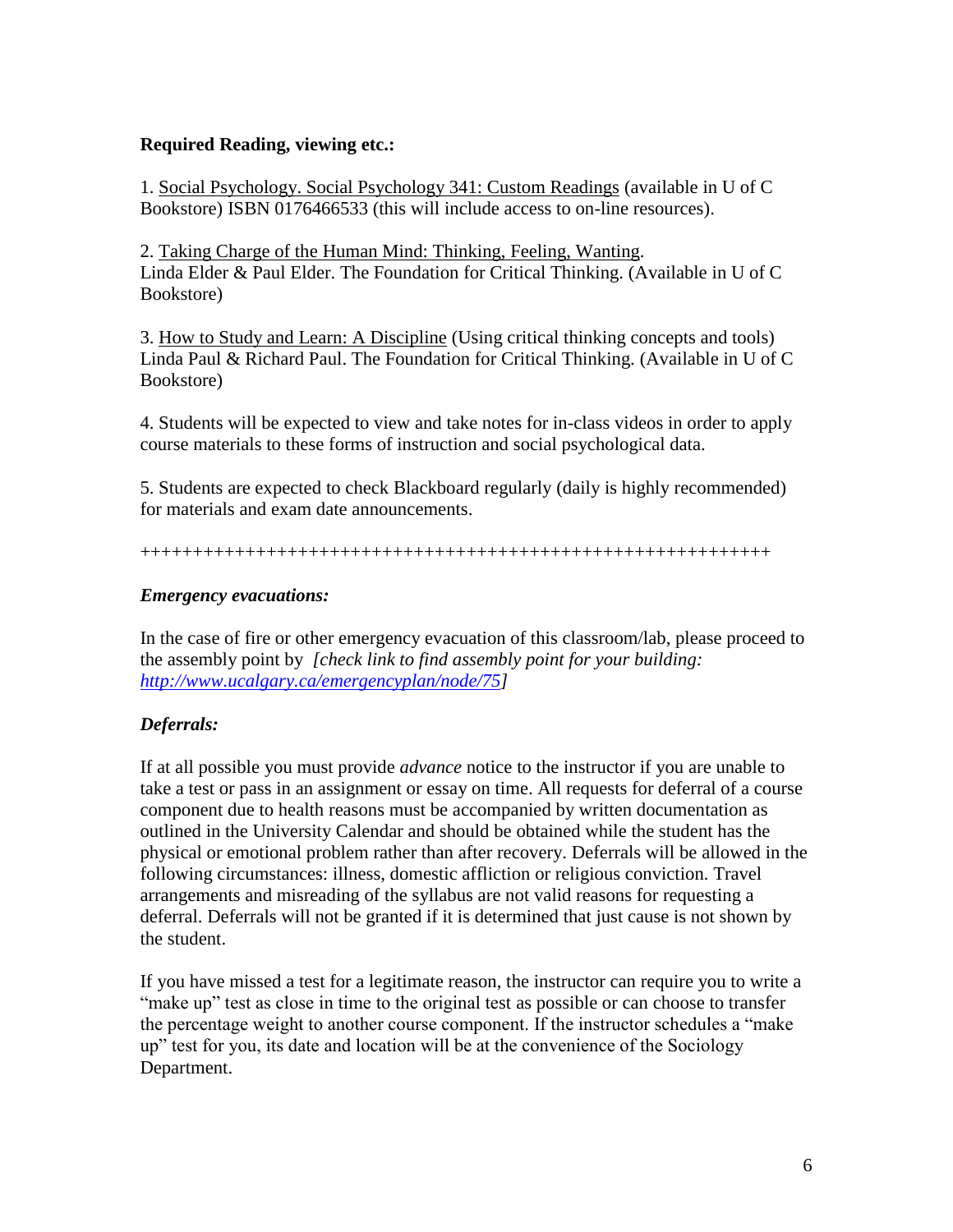### **Required Reading, viewing etc.:**

1. Social Psychology. Social Psychology 341: Custom Readings (available in U of C Bookstore) ISBN 0176466533 (this will include access to on-line resources).

2. Taking Charge of the Human Mind: Thinking, Feeling, Wanting. Linda Elder & Paul Elder. The Foundation for Critical Thinking. (Available in U of C Bookstore)

3. How to Study and Learn: A Discipline (Using critical thinking concepts and tools) Linda Paul & Richard Paul. The Foundation for Critical Thinking. (Available in U of C Bookstore)

4. Students will be expected to view and take notes for in-class videos in order to apply course materials to these forms of instruction and social psychological data.

5. Students are expected to check Blackboard regularly (daily is highly recommended) for materials and exam date announcements.

++++++++++++++++++++++++++++++++++++++++++++++++++++++++++++

# *Emergency evacuations:*

In the case of fire or other emergency evacuation of this classroom/lab, please proceed to the assembly point by *[check link to find assembly point for your building: [http://www.ucalgary.ca/emergencyplan/node/75\]](http://www.ucalgary.ca/emergencyplan/node/75)*

# *Deferrals:*

If at all possible you must provide *advance* notice to the instructor if you are unable to take a test or pass in an assignment or essay on time. All requests for deferral of a course component due to health reasons must be accompanied by written documentation as outlined in the University Calendar and should be obtained while the student has the physical or emotional problem rather than after recovery. Deferrals will be allowed in the following circumstances: illness, domestic affliction or religious conviction. Travel arrangements and misreading of the syllabus are not valid reasons for requesting a deferral. Deferrals will not be granted if it is determined that just cause is not shown by the student.

If you have missed a test for a legitimate reason, the instructor can require you to write a "make up" test as close in time to the original test as possible or can choose to transfer the percentage weight to another course component. If the instructor schedules a "make up" test for you, its date and location will be at the convenience of the Sociology Department.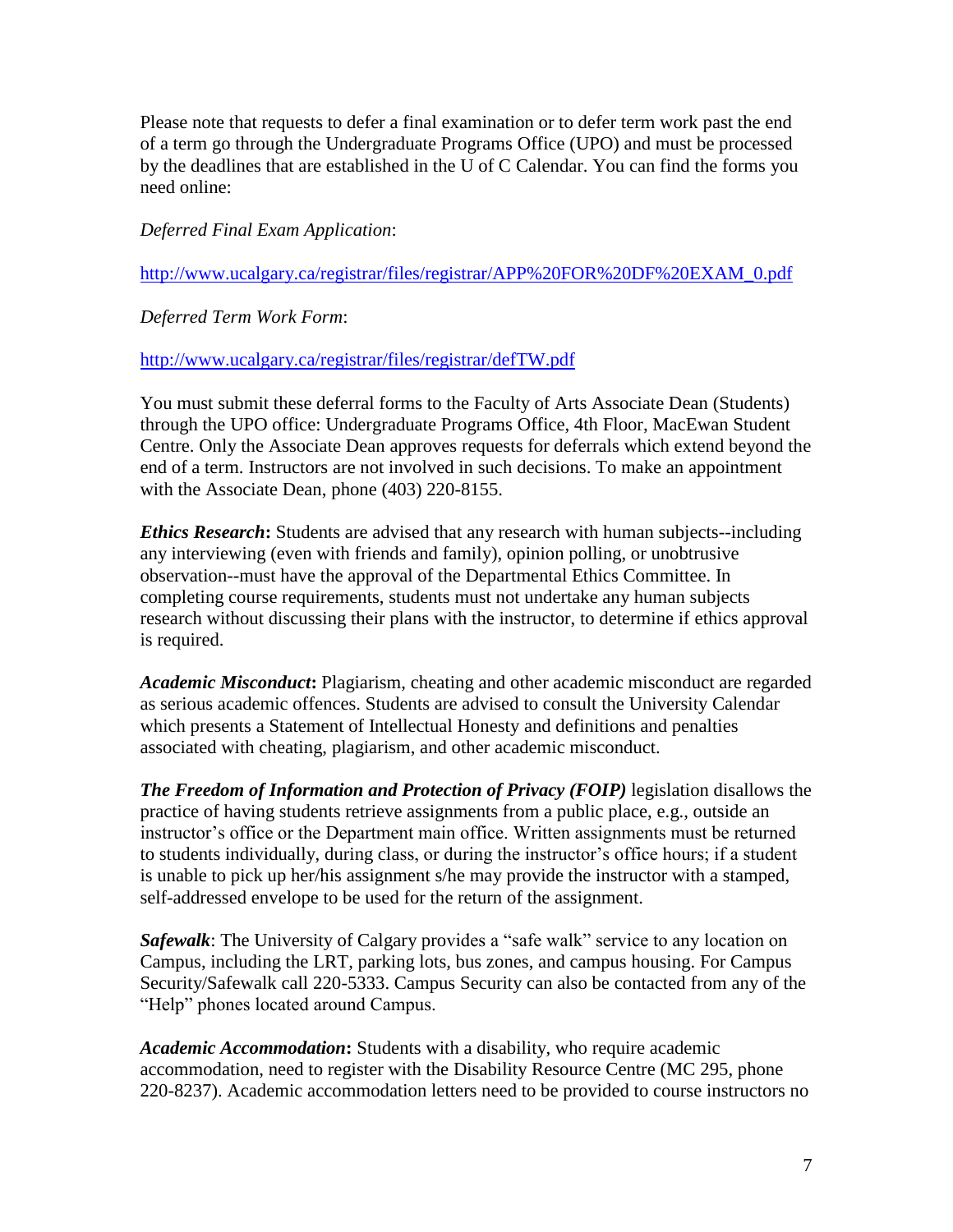Please note that requests to defer a final examination or to defer term work past the end of a term go through the Undergraduate Programs Office (UPO) and must be processed by the deadlines that are established in the U of C Calendar. You can find the forms you need online:

*Deferred Final Exam Application*:

[http://www.ucalgary.ca/registrar/files/registrar/APP%20FOR%20DF%20EXAM\\_0.pdf](http://www.ucalgary.ca/registrar/files/registrar/APP%20FOR%20DF%20EXAM_0.pdf)

*Deferred Term Work Form*:

<http://www.ucalgary.ca/registrar/files/registrar/defTW.pdf>

You must submit these deferral forms to the Faculty of Arts Associate Dean (Students) through the UPO office: Undergraduate Programs Office, 4th Floor, MacEwan Student Centre. Only the Associate Dean approves requests for deferrals which extend beyond the end of a term. Instructors are not involved in such decisions. To make an appointment with the Associate Dean, phone (403) 220-8155.

*Ethics Research***:** Students are advised that any research with human subjects--including any interviewing (even with friends and family), opinion polling, or unobtrusive observation--must have the approval of the Departmental Ethics Committee. In completing course requirements, students must not undertake any human subjects research without discussing their plans with the instructor, to determine if ethics approval is required.

*Academic Misconduct***:** Plagiarism, cheating and other academic misconduct are regarded as serious academic offences. Students are advised to consult the University Calendar which presents a Statement of Intellectual Honesty and definitions and penalties associated with cheating, plagiarism, and other academic misconduct.

*The Freedom of Information and Protection of Privacy (FOIP)* legislation disallows the practice of having students retrieve assignments from a public place, e.g., outside an instructor's office or the Department main office. Written assignments must be returned to students individually, during class, or during the instructor's office hours; if a student is unable to pick up her/his assignment s/he may provide the instructor with a stamped, self-addressed envelope to be used for the return of the assignment.

*Safewalk*: The University of Calgary provides a "safe walk" service to any location on Campus, including the LRT, parking lots, bus zones, and campus housing. For Campus Security/Safewalk call 220-5333. Campus Security can also be contacted from any of the "Help" phones located around Campus.

*Academic Accommodation***:** Students with a disability, who require academic accommodation, need to register with the Disability Resource Centre (MC 295, phone 220-8237). Academic accommodation letters need to be provided to course instructors no